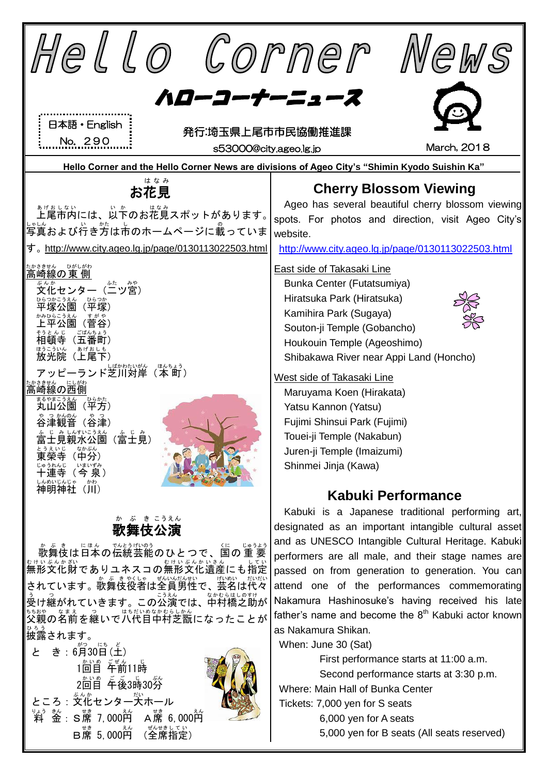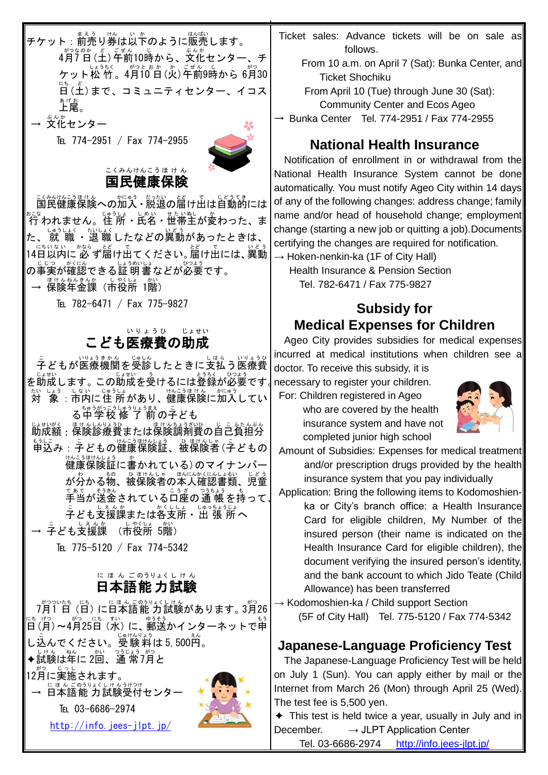<sub>チケット:</sub>莉ぅ<sub>リ</sub>淡しぶ。<br>チケット:前売り券は以下のように販売します。 4月7日(土) 午前10時から、☆^^<br>キリコンター、チ ケット松 竹。4月〔0 自 (火)年前9時から 6月30 日 にち (土 ど )まで、コミュニティセンター、イコス ぁゖぉ<br>**上尾。 → 交化センター** 

TEL 774-2951 / Fax 774-2955



### 国民 健康 保険 こくみん けんこう ほ け ん

こ殺防己馬はんの加入・脱退の届け出は自動的には まこな<br>行われません。住 所・氏名・世帯主が変わった、ま<br>しゅうしょく たいしょく いどう た、 就 職 ・退 職 したなどの異動 があったときは、 14日 にち 以内 いない に 必 かなら ず届 とど け出 で てください。届 とど け出 で には、異動 いどう *の*事実が確認できる証 明 書などが必要です。

→ 保険年金課(市役所 1階)

TEL 782-6471 / Fax 775-9827

### こども医療費の助成 いりょうひ じょせい

こ<br>子どもが医療機関を受診したときに支払う医療費 。。……。<br>を助成します。この助成を受けるには登録が必要です√r たいしょう しない しゅうしょ<br>対 象 : 市内に住 所があり、健康保険に加入してい る中学校 ちゅうがっこう 修 了 前 しゅうりょうまえ の子 こ ども じょせいがく …ほけんちょうざいひゃっぷ ほっちょうぶんぷんぷんぷ ほけんしんりょうひょう ほけんちょうざいひょう こうたんぶん もうに。<br>申込み : 子どもの健康保険証、被保険者 (子どもの <sub>けんご 脚の後記に書かれている)のマイナンバー</sub> が分かる物、被保険者の本人確認書類、児童 手当 てあて が送金 そうきん されている口座 こうざ の通 帳 つうちょう を持 も って、 ゠<br>子ども支援課または各支所・出 張 所へ → 字ども支援課 (市役所 5階)

TEL 775-5120 / Fax 774-5342

#### 日本語 能 力 試験 に ほ ん ごのうりょくし けん

7月 がつ 1 日 ついたち (日 にち )に日本語 にほんご 能 力 のうりょく 試験 しけん があります。3月 がつ 26 に("月)〜4月25日(水)に、<sup>釣衫</sup>かインターネットで申 し込んでください。受験料は5,500的。 ◆試験は年に2回、通常7月と 12月に実施されます。<br>『『ほんごのラリょくしけんぅ → 日本語能 力試験受付センター TEL 03-6686-2974 <http://info.jees-jlpt.jp/>

- Ticket sales: Advance tickets will be on sale as follows.
	- From 10 a.m. on April 7 (Sat): Bunka Center, and Ticket Shochiku

 From April 10 (Tue) through June 30 (Sat): Community Center and Ecos Ageo

 $\rightarrow$  Bunka Center Tel. 774-2951 / Fax 774-2955

### **National Health Insurance**

Notification of enrollment in or withdrawal from the National Health Insurance System cannot be done automatically. You must notify Ageo City within 14 days of any of the following changes: address change; family name and/or head of household change; employment change (starting a new job or quitting a job).Documents certifying the changes are required for notification.  $\rightarrow$  Hoken-nenkin-ka (1F of City Hall)

Health Insurance & Pension Section Tel. 782-6471 / Fax 775-9827

## **Subsidy for Medical Expenses for Children**

Ageo City provides subsidies for medical expenses incurred at medical institutions when children see a

doctor. To receive this subsidy, it is necessary to register your children.

For: Children registered in Ageo

who are covered by the health insurance system and have not completed junior high school



- Amount of Subsidies: Expenses for medical treatment and/or prescription drugs provided by the health insurance system that you pay individually
- Application: Bring the following items to Kodomoshienka or City's branch office: a Health Insurance Card for eligible children, My Number of the insured person (their name is indicated on the Health Insurance Card for eligible children), the document verifying the insured person's identity, and the bank account to which Jido Teate (Child Allowance) has been transferred

→ Kodomoshien-ka / Child support Section (5F of City Hall) Tel. 775-5120 / Fax 774-5342

### **Japanese-Language Proficiency Test**

 The Japanese-Language Proficiency Test will be held on July 1 (Sun). You can apply either by mail or the Internet from March 26 (Mon) through April 25 (Wed). The test fee is 5,500 yen.

 $\triangle$  This test is held twice a year, usually in July and in December.  $\longrightarrow$  JLPT Application Center

Tel. 03-6686-2974 <http://info.jees-jlpt.jp/>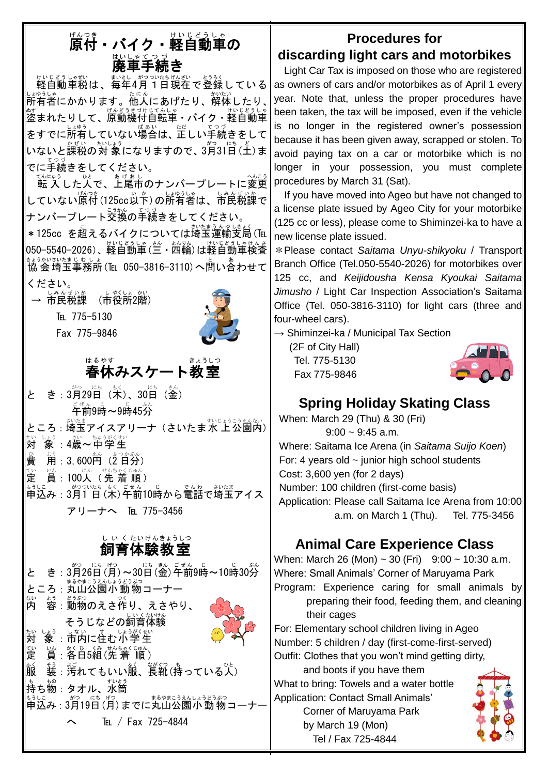# ||<br>||<br>|<br>|<br>|<br>|<br>|<br>|<br>|<br>|<br>|<br>|<br>|<br>|<br>|<br>|<br><br>|<br><br> はいしゃてっ*う*<br>**廃車手続き**

<sub>けいじどうしゃむ</sub><br>軽自動車税は、毎年4月1日現在で登録している 」。<br>所有者にかかります。他人にあげたり、解体したり、│ 盗 ぬす まれたりして、原動機付自転車 げ んど うき づけ じて んし ゃ ・バイク・軽自動車 けいじどうしゃ をすでに所有していない場合は、正しい手続きをして いないと課税の対 象になりますので、3月31日(土)ま でに手続 てつづ きをしてください。

てんにゅう<br>転 入 した人で、上尾市のナンバープレートに変更 していない原付(125cc以本)の所有者は、市民税課で ナンバープレート交換 こうかん の手続 てつづ きをしてください。

\*125cc を超えるバイクについては埼玉運輸支局(℡ 050−5540−2026)、軽自動車(三・純光、 けいじどうしゃけんき<br>050−5540−2026)、軽自動車(三・四輪)は軽自動車検査 <sub>まぅかいさいまじむしょ</sub><br>協会埼玉事務所(℡ 050-3816-3110)へ問い合わせて

ください。

→ 市民税課 (市役所2階)

TEL 775-5130

Fax 775-9846



ょ。。。。<br>春休みスケート教室

と き : 3月29日(木)、30日(金) <sub>ごぜん じ</sub><br>午前9時~9時45分 ところ : 埼玉アイスアリーナ(さいたま水 上公園内)

たい しょう しきめい ちゅうがくせい<br>**対 象 :4歳~中学生** 

- ○<br>費 ょ<sub>ぅ</sub><br>用 : 3, 600円(2 日分)
- 定 てい <sub>いん</sub><br>員:100人(先 着 順)
- 申込 もうしこ み:3月 がつ 1 日 ついたち (木 もく )午前 ごぜん 10時 じ から電話 でんわ で埼玉 さいたま アイス アリーナへ ℡ 775-3456

### 飼育 体験 教室 し い く たいけんきょうしつ

と き: 3月26日(月)~30日(釜)年前9時~10時30労 ところ : 丸山公園小動物コーナー 内 ない <u>。</u><br>容 : 動物のえさ作り、えさやり、 そうじなどの飼育体験 対 たい しょう。しょうがくせい<br>「象:市内に住む小学生 定 てい 。<br><u>貨:各日5組(先 着 順)</u> 。〈<br>服 装 そう :汚 よご れてもいい服 ふく 、長靴 ながぐつ (持 も っている人 ひと ) も、もの<br>持ち物:タオル、水筒 申込 もうしこ み:3月 がつ 19日 にち (月 げつ )までに丸山 まるやま 公園 こうえん 小動物 しょうどうぶつ コーナー  $\text{Tr}$  / Fax 725-4844

## **Procedures for**

## **discarding light cars and motorbikes**

Light Car Tax is imposed on those who are registered as owners of cars and/or motorbikes as of April 1 every year. Note that, unless the proper procedures have been taken, the tax will be imposed, even if the vehicle is no longer in the registered owner's possession because it has been given away, scrapped or stolen. To avoid paying tax on a car or motorbike which is no longer in your possession, you must complete procedures by March 31 (Sat).

If you have moved into Ageo but have not changed to a license plate issued by Ageo City for your motorbike (125 cc or less), please come to Shiminzei-ka to have a new license plate issued.

\*Please contact *Saitama Unyu-shikyoku* / Transport Branch Office (Tel.050-5540-2026) for motorbikes over 125 cc, and *Keijidousha Kensa Kyoukai Saitama Jimusho* / Light Car Inspection Association's Saitama Office (Tel. 050-3816-3110) for light cars (three and four-wheel cars).

 $\rightarrow$  Shiminzei-ka / Municipal Tax Section

(2F of City Hall) Tel. 775-5130 Fax 775-9846



# **Spring Holiday Skating Class**

When: March 29 (Thu) & 30 (Fri)  $9:00 \sim 9:45$  a.m. Where: Saitama Ice Arena (in *Saitama Suijo Koen*) For: 4 years old  $\sim$  junior high school students Cost: 3,600 yen (for 2 days) Number: 100 children (first-come basis) Application: Please call Saitama Ice Arena from 10:00 a.m. on March 1 (Thu). Tel. 775-3456

# **Animal Care Experience Class**

When: March 26 (Mon)  $\sim$  30 (Fri) 9:00  $\sim$  10:30 a.m. Where: Small Animals' Corner of Maruyama Park Program: Experience caring for small animals by preparing their food, feeding them, and cleaning

their cages

For: Elementary school children living in Ageo Number: 5 children / day (first-come-first-served) Outfit: Clothes that you won't mind getting dirty,

and boots if you have them What to bring: Towels and a water bottle Application: Contact Small Animals'

Corner of Maruyama Park by March 19 (Mon) Tel / Fax 725-4844